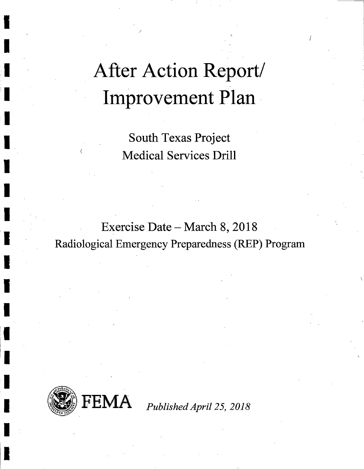# After Action Report/ Improvement Plan

**South Texas Project Medical Services Drill** 

Exercise Date - March 8, 2018 Radiological Emergency Preparedness (REP) Program



Published April 25, 2018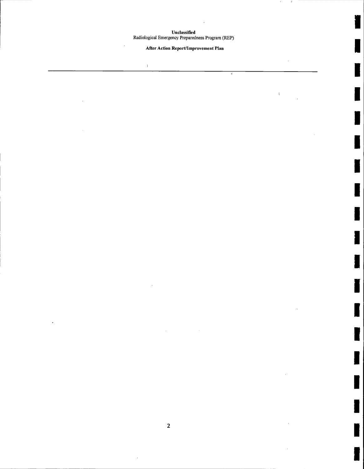## After Action Report/Improvement Plan

 $\bar{1}$ 

 $\bar{\bar{\xi}}$ 

 $\cdot$ 

 $\overline{2}$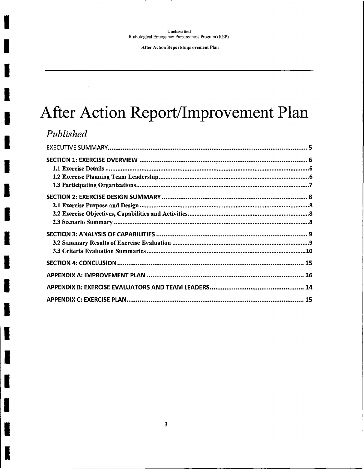After Action Report/Improvement Plan

# After Action Report/Improvement Plan

## Published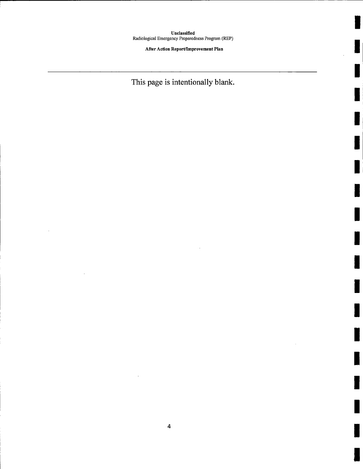After Action Report/Improvement Plan

This page is intentionally blank.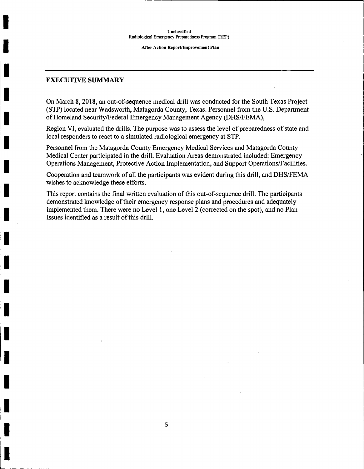**After Action Report/Improvement Plan** 

## **EXECUTIVE SUMMARY**

I

I

I

I

I

I

I

I

I

**,I** 

I

I

I

On March 8, 2018, an out-of-sequence medical drill was conducted for the South Texas Project (STP) located near Wadsworth, Matagorda County, Texas. Personnel from the U.S. Department of Homeland Security/Federal Emergency Management Agency (DHS/FEMA),

Region VI, evaluated the drills. The purpose was to assess the level of preparedness of state and local responders to react to a simulated radiological emergency at STP.

Personnel from the Matagorda County Emergency Medical Services and Matagorda County Medical Center participated in the drill. Evaluation Areas demonstrated included: Emergency Operations Management, Protective Action Implementation, and Support Operations/Facilities.

Cooperation and teamwork of all the participants was evident during this drill, and DHS/FEMA wishes to acknowledge these efforts.

This report contains the final written evaluation of this out-of-sequence drill. The participants demonstrated knowledge of their emergency response plans and procedures and adequately implemented them. There were no Level 1, one Level 2 ( corrected on the spot), and no Plan Issues identified as a result of this drill.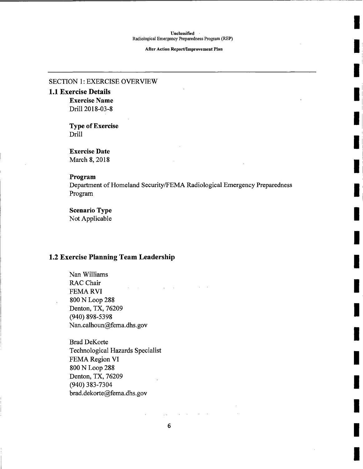I

I

I

I

I

Ii

**1:** I

I

I

I

I

I

I

I

I

I

I

I

**After Action Report/Improvement Plan** 

## SECTION **1:** EXERCISE OVERVIEW

## **1.1 Exercise Details Exercise Name**

Drill 2018-03-8

**Type of Exercise**  Drill

**Exercise Date**  March 8, 2018

#### **Program**

Department of Homeland Security/FEMA Radiological Emergency Preparedness Program

**Scenario Type**  Not Applicable

## **1.2 Exercise Planning Team Leadership**

Nan Williams RAC Chair FEMARVI 800 N Loop 288 Denton, TX, 76209 (940) 898-5398 Nan.calhoun@fema.dhs.gov

Brad DeKorte Technological Hazards Specialist FEMA Region VI 800 N Loop 288 Denton, TX, 76209 (940) 383-7304 brad.dekorte@fema.dhs.gov

6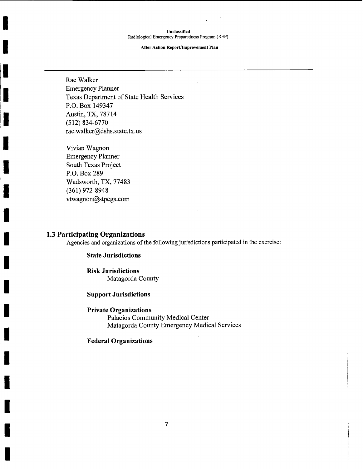**After Action Report/Improvement Plan** 

 $\overline{a}$ 

Rae Walker Emergency Planner Texas Department of State Health Services P.O. Box 149347 Austin, TX, 78714 (512) 834-6770 rae.walker@dshs.state. tx. us

Vivian Wagnon Emergency Planner South Texas Project P.O. Box289 Wadsworth, TX, 77483 (361) 972-8948 vtwagnon@stpegs.com

I

I

I

I

I

I

I

I

I

I

I

I

I

I

I

I

I

I

**,I** 

## **1.3 Participating Organizations**

Agencies and organizations of the following jurisdictions participated in the exercise:

## **State Jurisdictions**

**Risk Jurisdictions**  Matagorda County

#### **Support Jurisdictions**

## **Private Organizations**

Palacios Community Medical Center Matagorda County Emergency Medical Services

## **Federal Organizations**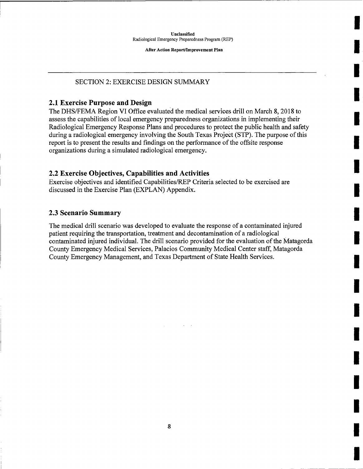I

I

I

I

I

I

I

I

I

I

I

I

I

I

I

I

I

I

I

**After Action Report/Improvement Plan** 

## SECTION 2: EXERCISE DESIGN SUMMARY

## **2.1 Exercise Purpose and Design**

The DHS/FEMA Region VI Office evaluated the medical services drill on March 8, 2018 to assess the capabilities of local emergency preparedness organizations in implementing their Radiological Emergency Response Plans and procedures to protect the public health and safety during a radiological emergency involving the South Texas Project (STP). The purpose of this report is to present the results and findings on the performance of the offsite response organizations during a simulated radiological emergency.

## **2.2 Exercise Objectives, Capabilities and Activities**

Exercise objectives and identified Capabilities/REP Criteria selected to be exercised are discussed in the Exercise Plan (EXPLAN) Appendix.

## **2.3 Scenario Summary**

The medical drill scenario was developed to evaluate the response of a contaminated injured patient requiring the transportation, treatment and decontamination of a radiological contaminated injured individual. The drill scenario provided for the evaluation of the Matagorda County Emergency Medical Services, Palacios Community Medical Center staff, Matagorda County Emergency Management, and Texas Department of State Health Services.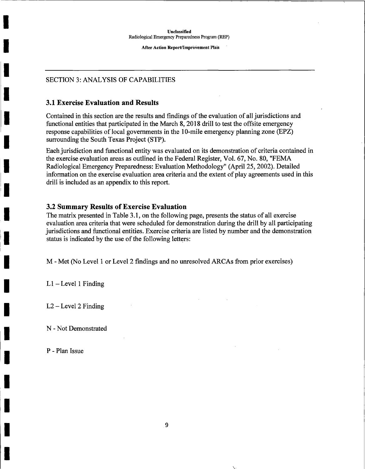**After Action Report/Improvement Plan** 

## SECTION 3: ANALYSIS OF CAPABILITIES

## **3.1 Exercise Evaluation and Results**

I

I

I

I

I

I

I

**!I**  I

I

I

I

I

I

I

I

I

I

Contained in this section are the results and findings of the evaluation of all jurisdictions and functional entities that participated in the March 8, 2018 drill to test the offsite emergency response capabilities of local governments in the 10-mile emergency planning zone (EPZ) surrounding the South Texas Project (STP).

Each jurisdiction and functional entity was evaluated on its demonstration of criteria contained in the exercise evaluation areas as outlined in the Federal Register, Vol. 67, No. 80, "FEMA Radiological Emergency Preparedness: Evaluation Methodology" (April 25, 2002). Detailed information on the exercise evaluation area criteria and the extent of play agreements used in this drill is included as an appendix to this report.

## **3.2 Summary Results of Exercise Evaluation**

The matrix presented in Table 3.1, on the following page, presents the status of all exercise evaluation area criteria that were scheduled for demonstration during the drill by all participating jurisdictions and functional entities. Exercise criteria are listed by number and the demonstration status is indicated by the use of the following letters:

M - Met (No Level 1 or Level 2 findings and no unresolved ARCAs from prior exercises)

 $L1 -$ Level 1 Finding

 $L2 - Level 2$  Finding

N - Not Demonstrated

P - Plan Issue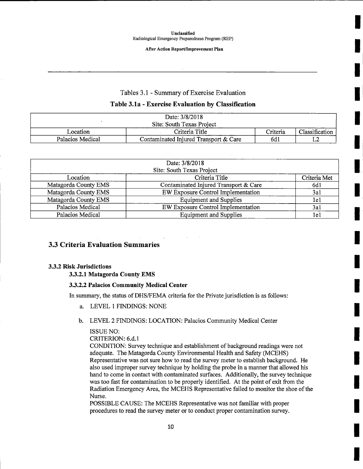I

I

I

**11** 

I

**11** <sup>I</sup>

**I'** 

I

I

I

I

I

I

I

I

I

I

I

I

**After Action Report/Improvement Plan** 

#### Tables 3.1 - Summary of Exercise Evaluation

## **Table 3.la** - **Exercise Evaluation by Classification**

| Date: $3/8/2018$          |                                       |                 |                |  |  |
|---------------------------|---------------------------------------|-----------------|----------------|--|--|
| Site: South Texas Project |                                       |                 |                |  |  |
| Location                  | Criteria Title                        | <b>Priteria</b> | Classification |  |  |
| Palacios Medical          | Contaminated Injured Transport & Care | 6d1             | ឹ              |  |  |

| Date: $3/8/2018$          |                                       |              |  |  |
|---------------------------|---------------------------------------|--------------|--|--|
| Site: South Texas Project |                                       |              |  |  |
| Location                  | Criteria Title                        | Criteria Met |  |  |
| Matagorda County EMS      | Contaminated Injured Transport & Care | 6d1          |  |  |
| Matagorda County EMS      | EW Exposure Control Implementation    | 3a1          |  |  |
| Matagorda County EMS      | <b>Equipment and Supplies</b>         | 1e1          |  |  |
| Palacios Medical          | EW Exposure Control Implementation    | 3a1          |  |  |
| Palacios Medical          | <b>Equipment and Supplies</b>         | 1e1          |  |  |

## **3.3 Criteria Evaluation Summaries**

#### **3.3.2 Risk Jurisdictions**

### **3.3.2.1 Matagorda County EMS**

#### **3.3.2.2 Palacios Community Medical Center**

In summary, the status of DHS/FEMA criteria for the Private jurisdiction is as follows:

- a. LEVEL 1 FINDINGS: NONE
- b. LEVEL 2 FINDINGS: LOCATION: Palacios Community Medical Center

#### ISSUE NO:

CRITERION: 6.d.1

CONDITION: Survey technique and establishment of background readings were not adequate. The Matagorda County Environmental Health and Safety (MCEHS) Representative was not sure how to read the survey meter to establish background. He also used improper survey technique by holding the probe in a manner that allowed his hand to come in contact with contaminated surfaces. Additionally, the survey technique was too fast for contamination to be properly identified. At the point of exit from the Radiation Emergency Area, the MCEHS Representative failed to monitor the shoe of the Nurse.

POSSIBLE CAUSE: The MCEHS Representative was not familiar with proper procedures to read the survey meter or to conduct proper contamination survey.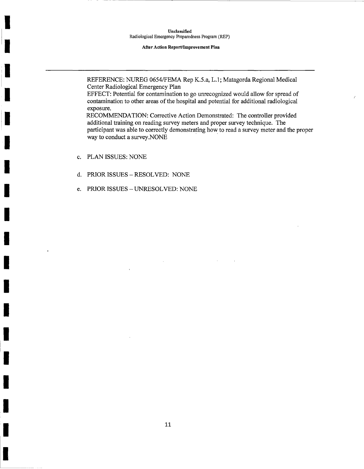#### **After Action Report/Improvement Plan**

REFERENCE: NUREG 0654/FEMA Rep K.5.a, L.1; Matagorda Regional Medical Center Radiological Emergency Plan

EFFECT: Potential for contamination to go unrecognized would allow for spread of contamination to other areas of the hospital and potential for additional radiological exposure.

RECOMMENDATION: Corrective Action Demonstrated: The controller provided additional training on reading survey meters and proper survey technique. The participant was able to correctly demonstrating how to read a survey meter and the proper way to conduct a survey. NONE

c. PLAN ISSUES: NONE

ii

I

I

I

I

I

I

I

I

I

I

I

II

I

I

I

1.

 $-$ 

I

- d. PRIOR ISSUES RESOLVED: NONE
- e. PRIOR ISSUES UNRESOLVED: NONE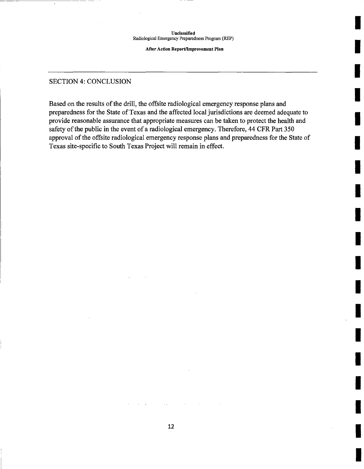I

I

I

I

I

I

I

I

I

I

I

I

I

I

I

I

I

I

I

**After Action Report/Improvement Plan** 

## SECTION 4: CONCLUSION

Based on the results of the drill, the offsite radiological emergency response plans and preparedness for the State of Texas and the affected local jurisdictions are deemed adequate to provide reasonable assurance that appropriate measures can be taken to protect the health and safety of the public in the event of a radiological emergency. Therefore, 44 CFR Part 350 approval of the offsite radiological emergency response plans and preparedness for the State of Texas site-specific to South Texas Project will remain in effect.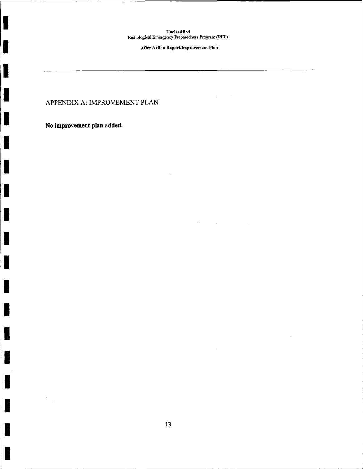**After Action Report/Improvement Plan** 

 $\mathbb{R}^2$ 

## APPENDIX A: IMPROVEMENT PLAN

**No improvement plan added.** 

I

I

I

I

**I** 

I

I

I

I

I

I

I

I

I

I

I

I

 $\bar{z}$ 

I

 $\overline{\phantom{a}}$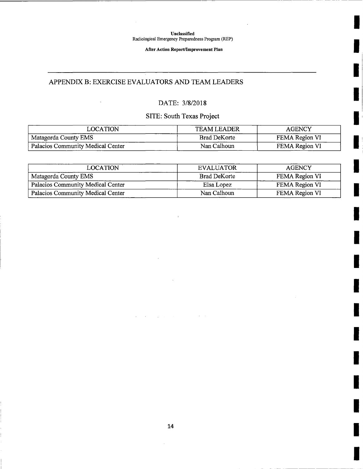I

I,

I

I

**1,** 

I

I

I

I

I

I

I

I

I

I

I

I

I

**After Action Report/Improvement Plan** 

## APPENDIX B: EXERCISE EVALUATORS AND TEAM LEADERS

## DATE: 3/8/2018

## SITE: South Texas Project

| LOCATION                          | <b>TEAM LEADER</b>  | <b>AGENCY</b>  |
|-----------------------------------|---------------------|----------------|
| Matagorda County EMS              | <b>Brad DeKorte</b> | FEMA Region VI |
| Palacios Community Medical Center | Nan Calhoun         | FEMA Region VI |

| <b>LOCATION</b>                   | <b>EVALUATOR</b>    | <b>AGENCY</b>  |
|-----------------------------------|---------------------|----------------|
| Matagorda County EMS              | <b>Brad DeKorte</b> | FEMA Region VI |
| Palacios Community Medical Center | Elsa Lopez          | FEMA Region VI |
| Palacios Community Medical Center | Nan Calhoun         | FEMA Region VI |

 $\bar{z}$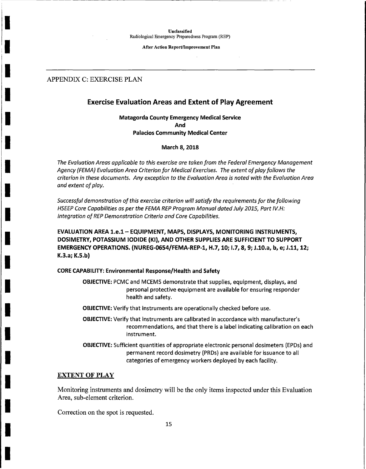**After Action Report/Improvement Plan** 

## APPENDIX C: EXERCISE PLAN

I

I

I

I

I

I

I

I

I

I

I

I

I

I

I

I

I

## **Exercise Evaluation Areas and Extent of Play Agreement**

**Matagorda County Emergency Medical Service And Palacios Community Medical Center** 

**March 8, 2018** 

*The Evaluation Areas applicable to this exercise are taken from the Federal Emergency Management Agency {FEMA) Evaluation Area Criterion for Medical Exercises. The extent of play follows the criterion in these documents. Any exception to the Evaluation Area is noted with the Evaluation Area and extent of play.* 

*Successful demonstration of this exercise criterion will satisfy the requirements for the following HSEEP Core Capabilities as per the FEMA REP Program Manual dated July 2015, Part IV.H: Integration of REP Demonstration Criteria and Core Capabilities.* 

**EVALUATION AREA 1.e.1- EQUIPMENT, MAPS, DISPLAYS, MONITORING INSTRUMENTS, DOSIMETRY, POTASSIUM IODIDE (Kl), AND OTHER SUPPLIES ARE SUFFICIENT TO SUPPORT EMERGENCY OPERATIONS. (NUREG-0654/FEMA-REP-1, H.7, 10; 1.7, 8, 9; J.10.a, b, e; J.11, 12; K.3.a; K.S.b)** 

## **CORE CAPABILITY: Environmental Response/Health and Safety**

**OBJECTIVE:** PCMC and MCEMS demonstrate that supplies, equipment, displays, and personal protective equipment are available for ensuring responder health and safety.

- **OBJECTIVE:** Verify that instruments are operationally checked before use.
- **OBJECTIVE:** Verify that instruments are calibrated in accordance with manufacturer's recommendations, and that there is a label indicating calibration on each instrument.
- **OBJECTIVE:** Sufficient quantities of appropriate electronic personal dosimeters (EPDs) and permanent record dosimetry (PRDs) are available for issuance to all categories of emergency workers deployed by each facility.

## **EXTENT OF PLAY**

Monitoring instruments and dosimetry will be the only items inspected under this Evaluation Area, sub-element criterion.

Correction on the spot is requested.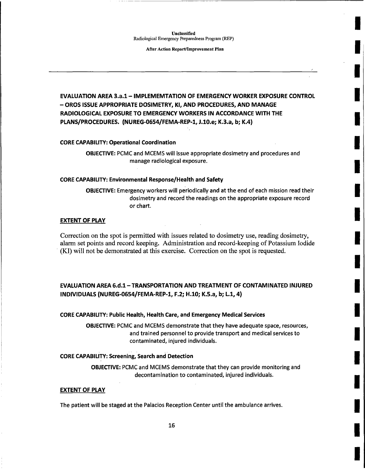-- ----------------------------------

I

I

I

I

I

I

I

I

I

I

I

I

I

I

I

I

I

I

I

**After Action Report/Improvement Plan** 

## **EVALUATION AREA 3.a.1- IMPLEMEMTATION OF EMERGENCY WORKER EXPOSURE CONTROL**  - **OROS ISSUE APPROPRIATE DOSIMETRY, Kl, AND PROCEDURES, AND MANAGE RADIOLOGICAL EXPOSURE TO EMERGENCY WORKERS IN ACCORDANCE WITH THE PLANS/PROCEDURES. (NUREG-0654/FEMA-REP-1, J.10.e; K.3.a, b; K.4)**

#### **CORE CAPABILITY: Operational Coordination**

**OBJECTIVE:** PCMC and MCEMS will issue appropriate dosimetry and procedures and manage radiological exposure.

#### **CORE CAPABILITY: Environmental Response/Health and Safety**

**OBJECTIVE:** Emergency workers will periodically and at the end of each mission read their dosimetry and record the readings on the appropriate exposure record or chart.

#### **EXTENT OF PLAY**

Correction on the spot is permitted with issues related to dosimetry use, reading dosimetry, alarm set points and record keeping. Administration and record-keeping of Potassium Iodide · (KI) will not be demonstrated at this exercise. Correction on the spot is requested.

## **EVALUATION AREA 6.d.1-TRANSPORTATION AND TREATMENT OF CONTAMINATED INJURED INDIVIDUALS (NUREG-0654/FEMA-REP-1, F.2; H.10; K.5.a, b; L.1, 4)**

#### **CORE CAPABILITY: Public Health, Health Care, and Emergency Medical Services**

**OBJECTIVE:** PCMC and MCEMS demonstrate that they have adequate space, resources, and trained personnel to provide transport and medical services to contaminated, injured individuals.

#### **CORE CAPABILITY: Screening, Search and Detection**

**OBJECTIVE:** PCMC and MCEMS demonstrate that they can provide monitoring and decontamination to contaminated, injured individuals.

#### **EXTENT OF PLAY**

The patient will be staged at the Palacios Reception Center until the ambulance arrives.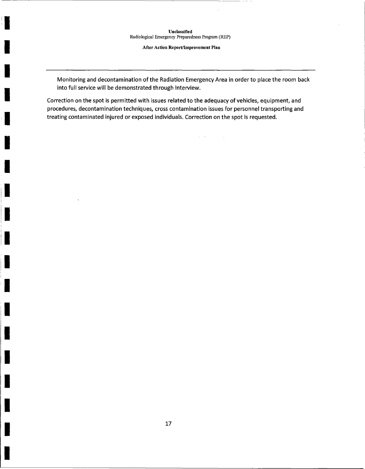$\bar{z}$ 

**After Action Report/Improvement Plan** 

I

I

I

I

I

I

I

ii

I

I

I

I

I

I

I

I

Monitoring and decontamination of the Radiation Emergency Area in order to place the room back into full service will be demonstrated through interview.

 $\Delta \sim 300$  km  $^{-1}$ 

 $\sim$   $\sim$ 

Correction on the spot is permitted with issues related to the adequacy of vehicles, equipment, and procedures, decontamination techniques, cross contamination issues for personnel transporting and treating contaminated injured or exposed individuals. Correction on the spot is requested.